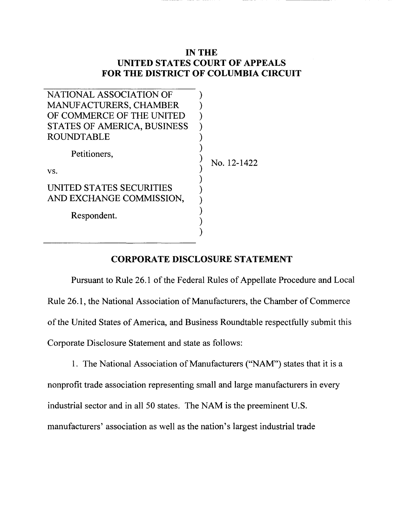## **IN THE UNITED STATES COURT OF APPEALS FOR THE DISTRICT OF COLUMBIA CIRCUIT**

| NATIONAL ASSOCIATION OF                              |             |
|------------------------------------------------------|-------------|
| <b>MANUFACTURERS, CHAMBER</b>                        |             |
| OF COMMERCE OF THE UNITED                            |             |
| STATES OF AMERICA, BUSINESS                          |             |
| <b>ROUNDTABLE</b>                                    |             |
| Petitioners,                                         | No. 12-1422 |
| VS.                                                  |             |
| UNITED STATES SECURITIES<br>AND EXCHANGE COMMISSION, |             |
| Respondent.                                          |             |
|                                                      |             |

## **CORPORATE DISCLOSURE STATEMENT**

Pursuant to Rule 26.1 of the Federal Rules of Appellate Procedure and Local Rule 26.1, the National Association of Manufacturers, the Chamber of Commerce of the United States of America, and Business Roundtable respectfully submit this Corporate Disclosure Statement and state as follows:

1. The National Association of Manufacturers ("NAM") states that it is a nonprofit trade association representing small and large manufacturers in every industrial sector and in all 50 states. The NAM is the preeminent U.S. manufacturers' association as well as the nation's largest industrial trade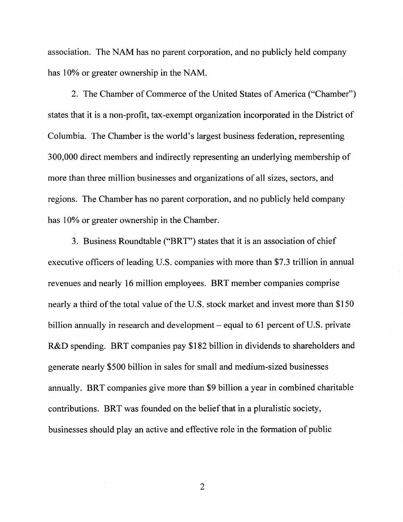association. The NAM has no parent corporation, and no publicly held company has 10% or greater ownership in the NAM.

2. The Chamber of Commerce of the United States of America ("Chamber") states that it is a non-profit, tax-exempt organization incorporated in the District of Columbia. The Chamber is the world's largest business federation, representing 300,000 direct members and indirectly representing an underlying membership of more than three million businesses and organizations of all sizes, sectors, and regions. The Chamber has no parent corporation, and no publicly held company has 10% or greater ownership in the Chamber.

3. Business Roundtable ("BRT") states that it is an association of chief executive officers of leading U.S. companies with more than \$7.3 trillion in annual revenues and nearly 16 million employees. BRT member companies comprise nearly a third of the total value of the U.S. stock market and invest more than \$150 billion annually in research and development – equal to 61 percent of U.S. private R&D spending. BRT companies pay \$182 billion in dividends to shareholders and generate nearly \$500 billion in sales for small and medium-sized businesses annually. BRT companies give more than \$9 billion a year in combined charitable contributions. BRT was founded on the belief that in a pluralistic society, businesses should play an active and effective role in the formation of public

2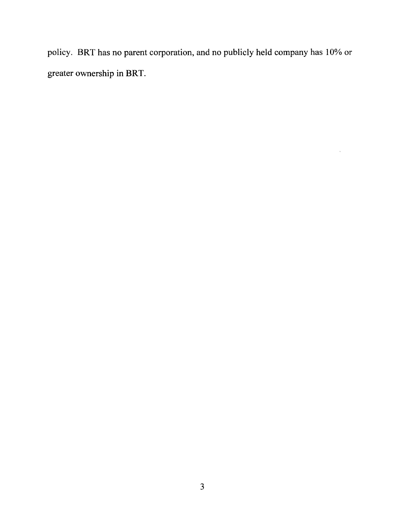policy. BRT has no parent corporation, and no publicly held company has 10% or greater ownership in BRT.

 $\hat{\mathcal{A}}$